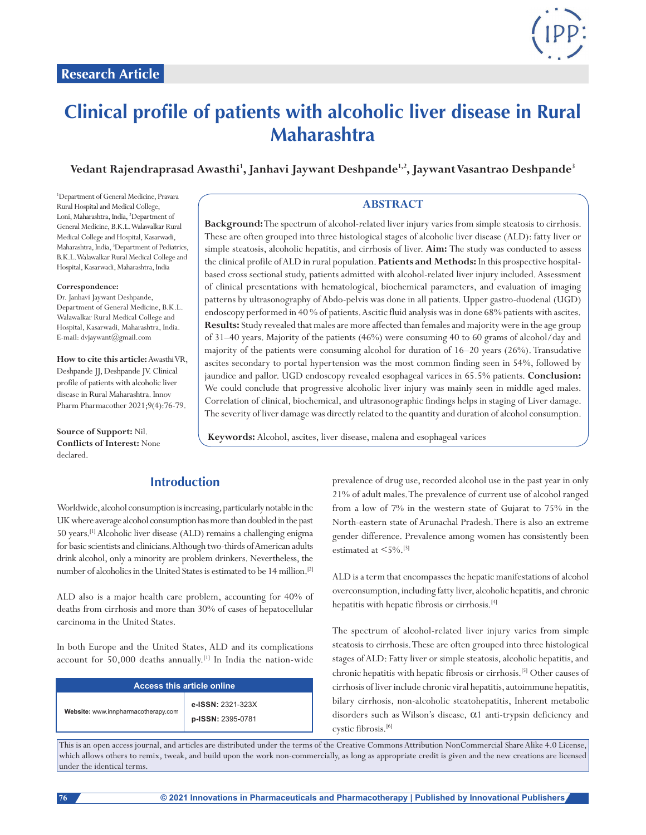

# **Clinical profile of patients with alcoholic liver disease in Rural Maharashtra**

Vedant Rajendraprasad Awasthi<sup>1</sup>, Janhavi Jaywant Deshpande<sup>1,2</sup>, Jaywant Vasantrao Deshpande<sup>3</sup>

1 Department of General Medicine, Pravara Rural Hospital and Medical College, Loni, Maharashtra, India, 2 Department of General Medicine, B.K.L. Walawalkar Rural Medical College and Hospital, Kasarwadi, Maharashtra, India, <sup>3</sup>Department of Pediatrics, B.K.L. Walawalkar Rural Medical College and Hospital, Kasarwadi, Maharashtra, India

#### **Correspondence:**

Dr. Janhavi Jaywant Deshpande, Department of General Medicine, B.K.L. Walawalkar Rural Medical College and Hospital, Kasarwadi, Maharashtra, India. E-mail: dvjaywant@gmail.com

**How to cite this article:** AwasthiVR, Deshpande JJ, Deshpande JV. Clinical profile of patients with alcoholic liver disease in Rural Maharashtra. Innov Pharm Pharmacother 2021;9(4):76-79.

**Source of Support:** Nil. **Conflicts of Interest:** None declared.

## **ABSTRACT**

**Background:** The spectrum of alcohol-related liver injury varies from simple steatosis to cirrhosis. These are often grouped into three histological stages of alcoholic liver disease (ALD): fatty liver or simple steatosis, alcoholic hepatitis, and cirrhosis of liver. **Aim:** The study was conducted to assess the clinical profile of ALD in rural population. **Patients and Methods:** In this prospective hospitalbased cross sectional study, patients admitted with alcohol-related liver injury included. Assessment of clinical presentations with hematological, biochemical parameters, and evaluation of imaging patterns by ultrasonography of Abdo-pelvis was done in all patients. Upper gastro-duodenal (UGD) endoscopy performed in 40 % of patients. Ascitic fluid analysis was in done 68% patients with ascites. **Results:** Study revealed that males are more affected than females and majority were in the age group of 31–40 years. Majority of the patients (46%) were consuming 40 to 60 grams of alcohol/day and majority of the patients were consuming alcohol for duration of 16–20 years (26%). Transudative ascites secondary to portal hypertension was the most common finding seen in 54%, followed by jaundice and pallor. UGD endoscopy revealed esophageal varices in 65.5% patients. **Conclusion:** We could conclude that progressive alcoholic liver injury was mainly seen in middle aged males. Correlation of clinical, biochemical, and ultrasonographic findings helps in staging of Liver damage. The severity of liver damage was directly related to the quantity and duration of alcohol consumption.

**Keywords:** Alcohol, ascites, liver disease, malena and esophageal varices

# **Introduction**

Worldwide, alcohol consumption is increasing, particularly notable in the UK where average alcohol consumption has more than doubled in the past 50 years.[1] Alcoholic liver disease (ALD) remains a challenging enigma for basic scientists and clinicians. Although two-thirds of American adults drink alcohol, only a minority are problem drinkers. Nevertheless, the number of alcoholics in the United States is estimated to be 14 million.<sup>[2]</sup>

ALD also is a major health care problem, accounting for 40% of deaths from cirrhosis and more than 30% of cases of hepatocellular carcinoma in the United States.

In both Europe and the United States, ALD and its complications account for 50,000 deaths annually.[1] In India the nation-wide

| <b>Access this article online</b>   |                                        |  |
|-------------------------------------|----------------------------------------|--|
| Website: www.innpharmacotherapy.com | e-ISSN: 2321-323X<br>p-ISSN: 2395-0781 |  |

prevalence of drug use, recorded alcohol use in the past year in only 21% of adult males. The prevalence of current use of alcohol ranged from a low of 7% in the western state of Gujarat to 75% in the North-eastern state of Arunachal Pradesh. There is also an extreme gender difference. Prevalence among women has consistently been estimated at  $\leq$  5%.[3]

ALD is a term that encompasses the hepatic manifestations of alcohol overconsumption, including fatty liver, alcoholic hepatitis, and chronic hepatitis with hepatic fibrosis or cirrhosis.<sup>[4]</sup>

The spectrum of alcohol-related liver injury varies from simple steatosis to cirrhosis. These are often grouped into three histological stages of ALD: Fatty liver or simple steatosis, alcoholic hepatitis, and chronic hepatitis with hepatic fibrosis or cirrhosis.[5] Other causes of cirrhosis of liver include chronic viral hepatitis, autoimmune hepatitis, bilary cirrhosis, non-alcoholic steatohepatitis, Inherent metabolic disorders such as Wilson's disease, α1 anti-trypsin deficiency and cystic fibrosis.[6]

This is an open access journal, and articles are distributed under the terms of the Creative Commons Attribution NonCommercial Share Alike 4.0 License, which allows others to remix, tweak, and build upon the work non-commercially, as long as appropriate credit is given and the new creations are licensed under the identical terms.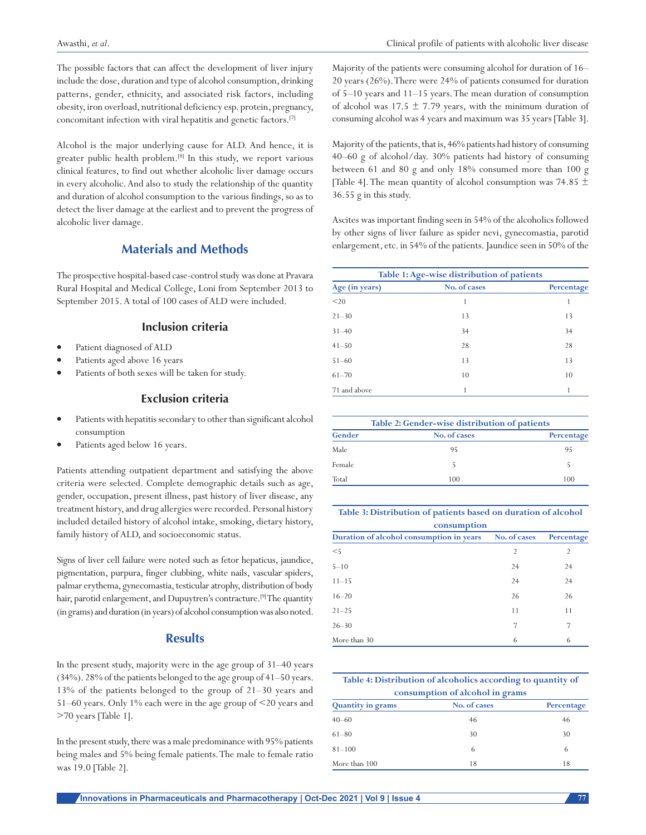The possible factors that can affect the development of liver injury include the dose, duration and type of alcohol consumption, drinking patterns, gender, ethnicity, and associated risk factors, including obesity, iron overload, nutritional deficiency esp. protein, pregnancy, concomitant infection with viral hepatitis and genetic factors.[7]

Alcohol is the major underlying cause for ALD. And hence, it is greater public health problem.[8] In this study, we report various clinical features, to find out whether alcoholic liver damage occurs in every alcoholic. And also to study the relationship of the quantity and duration of alcohol consumption to the various findings, so as to detect the liver damage at the earliest and to prevent the progress of alcoholic liver damage.

# **Materials and Methods**

The prospective hospital-based case-control study was done at Pravara Rural Hospital and Medical College, Loni from September 2013 to September 2015. A total of 100 cases of ALD were included.

#### **Inclusion criteria**

- Patient diagnosed of ALD
- Patients aged above 16 years
- Patients of both sexes will be taken for study.

# **Exclusion criteria**

- Patients with hepatitis secondary to other than significant alcohol consumption
- Patients aged below 16 years.

Patients attending outpatient department and satisfying the above criteria were selected. Complete demographic details such as age, gender, occupation, present illness, past history of liver disease, any treatment history, and drug allergies were recorded. Personal history included detailed history of alcohol intake, smoking, dietary history, family history of ALD, and socioeconomic status.

Signs of liver cell failure were noted such as fetor hepaticus, jaundice, pigmentation, purpura, finger clubbing, white nails, vascular spiders, palmar erythema, gynecomastia, testicular atrophy, distribution of body hair, parotid enlargement, and Dupuytren's contracture.<sup>[9]</sup> The quantity (in grams) and duration (in years) of alcohol consumption was also noted.

### **Results**

In the present study, majority were in the age group of 31–40 years (34%). 28% of the patients belonged to the age group of 41–50 years. 13% of the patients belonged to the group of 21–30 years and 51–60 years. Only 1% each were in the age group of <20 years and >70 years [Table 1].

In the present study, there was a male predominance with 95% patients being males and 5% being female patients. The male to female ratio was 19.0 [Table 2].

Majority of the patients were consuming alcohol for duration of 16– 20 years (26%). There were 24% of patients consumed for duration of 5–10 years and 11–15 years. The mean duration of consumption of alcohol was 17.5  $\pm$  7.79 years, with the minimum duration of consuming alcohol was 4 years and maximum was 35 years [Table 3].

Majority of the patients, that is, 46% patients had history of consuming 40–60 g of alcohol/day. 30% patients had history of consuming between 61 and 80 g and only 18% consumed more than 100 g [Table 4]. The mean quantity of alcohol consumption was 74.85  $\pm$ 36.55 g in this study.

Ascites was important finding seen in 54% of the alcoholics followed by other signs of liver failure as spider nevi, gynecomastia, parotid enlargement, etc. in 54% of the patients. Jaundice seen in 50% of the

| Table 1: Age-wise distribution of patients |              |            |  |
|--------------------------------------------|--------------|------------|--|
| Age (in years)                             | No. of cases | Percentage |  |
| $20$                                       | 1            |            |  |
| $21 - 30$                                  | 13           | 13         |  |
| $31 - 40$                                  | 34           | 34         |  |
| $41 - 50$                                  | 28           | 28         |  |
| $51 - 60$                                  | 13           | 13         |  |
| $61 - 70$                                  | 10           | 10         |  |
| 71 and above                               |              |            |  |

|        | Table 2: Gender-wise distribution of patients |            |  |
|--------|-----------------------------------------------|------------|--|
| Gender | No. of cases                                  | Percentage |  |
| Male   | 95                                            | 95         |  |
| Female |                                               |            |  |
| Total  | 100                                           | 100        |  |

| Table 3: Distribution of patients based on duration of alcohol |
|----------------------------------------------------------------|
| consumption                                                    |

| Duration of alcohol consumption in years | No. of cases   | Percentage     |
|------------------------------------------|----------------|----------------|
| $<$ 5                                    | $\overline{2}$ | $\overline{2}$ |
| $5 - 10$                                 | 24             | 24             |
| $11 - 15$                                | 24             | 24             |
| $16 - 20$                                | 26             | 26             |
| $21 - 25$                                | 11             | 11             |
| $26 - 30$                                | 7              | 7              |
| More than 30                             | 6              | 6              |
|                                          |                |                |

| Table 4: Distribution of alcoholics according to quantity of |              |            |  |  |
|--------------------------------------------------------------|--------------|------------|--|--|
| consumption of alcohol in grams                              |              |            |  |  |
| <b>Quantity in grams</b>                                     | No. of cases | Percentage |  |  |
| $40 - 60$                                                    | 46           | 46         |  |  |
| $61 - 80$                                                    | 30           | 30         |  |  |
| $81 - 100$                                                   | 6            | 6          |  |  |
| More than 100                                                | 18           | 18         |  |  |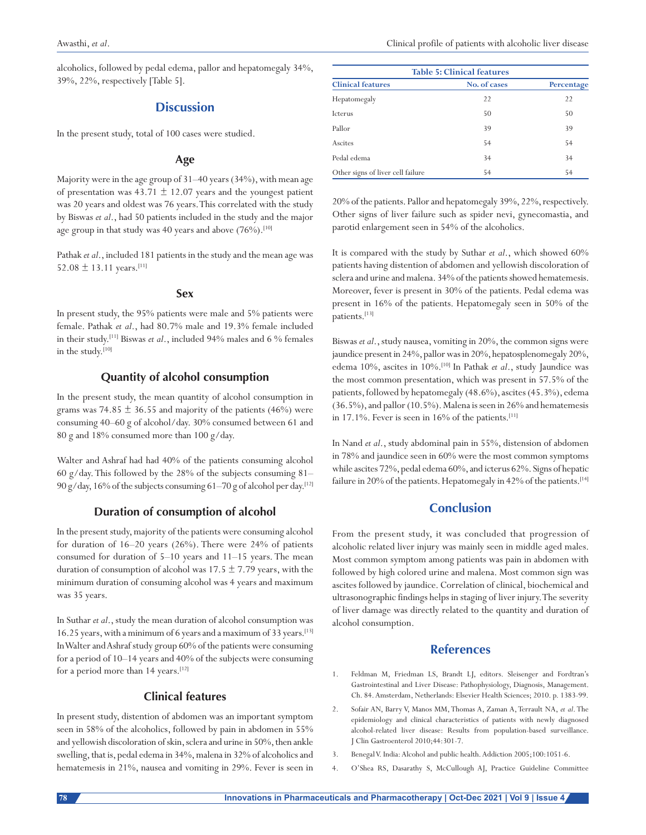alcoholics, followed by pedal edema, pallor and hepatomegaly 34%, 39%, 22%, respectively [Table 5].

# **Discussion**

In the present study, total of 100 cases were studied.

# **Age**

Majority were in the age group of 31–40 years (34%), with mean age of presentation was  $43.71 \pm 12.07$  years and the youngest patient was 20 years and oldest was 76 years. This correlated with the study by Biswas *et al*., had 50 patients included in the study and the major age group in that study was 40 years and above  $(76\%)$ .<sup>[10]</sup>

Pathak *et al*., included 181 patients in the study and the mean age was 52.08  $\pm$  13.11 years.<sup>[11]</sup>

#### **Sex**

In present study, the 95% patients were male and 5% patients were female. Pathak *et al*., had 80.7% male and 19.3% female included in their study.[11] Biswas *et al*., included 94% males and 6 % females in the study.[10]

# **Quantity of alcohol consumption**

In the present study, the mean quantity of alcohol consumption in grams was 74.85  $\pm$  36.55 and majority of the patients (46%) were consuming 40–60 g of alcohol/day. 30% consumed between 61 and 80 g and 18% consumed more than 100 g/day.

Walter and Ashraf had had 40% of the patients consuming alcohol 60 g/day. This followed by the 28% of the subjects consuming  $81-$ 90 g/day, 16% of the subjects consuming 61–70 g of alcohol per day.[12]

# **Duration of consumption of alcohol**

In the present study, majority of the patients were consuming alcohol for duration of 16–20 years (26%). There were 24% of patients consumed for duration of 5–10 years and 11–15 years. The mean duration of consumption of alcohol was  $17.5 \pm 7.79$  years, with the minimum duration of consuming alcohol was 4 years and maximum was 35 years.

In Suthar *et al*., study the mean duration of alcohol consumption was 16.25 years, with a minimum of 6 years and a maximum of 33 years.[13] In Walter and Ashraf study group 60% of the patients were consuming for a period of 10–14 years and 40% of the subjects were consuming for a period more than 14 years.<sup>[12]</sup>

# **Clinical features**

In present study, distention of abdomen was an important symptom seen in 58% of the alcoholics, followed by pain in abdomen in 55% and yellowish discoloration of skin, sclera and urine in 50%, then ankle swelling, that is, pedal edema in 34%, malena in 32% of alcoholics and hematemesis in 21%, nausea and vomiting in 29%. Fever is seen in

| <b>Table 5: Clinical features</b> |              |            |  |
|-----------------------------------|--------------|------------|--|
| <b>Clinical features</b>          | No. of cases | Percentage |  |
| Hepatomegaly                      | 22           | 22         |  |
| Icterus                           | 50           | 50         |  |
| Pallor                            | 39           | 39         |  |
| Ascites                           | 54           | 54         |  |
| Pedal edema                       | 34           | 34         |  |
| Other signs of liver cell failure | 54           | 54         |  |

20% of the patients. Pallor and hepatomegaly 39%, 22%, respectively. Other signs of liver failure such as spider nevi, gynecomastia, and parotid enlargement seen in 54% of the alcoholics.

It is compared with the study by Suthar *et al*., which showed 60% patients having distention of abdomen and yellowish discoloration of sclera and urine and malena. 34% of the patients showed hematemesis. Moreover, fever is present in 30% of the patients. Pedal edema was present in 16% of the patients. Hepatomegaly seen in 50% of the patients.<sup>[13]</sup>

Biswas *et al*., study nausea, vomiting in 20%, the common signs were jaundice present in 24%, pallor was in 20%, hepatosplenomegaly 20%, edema 10%, ascites in 10%.[10] In Pathak *et al*., study Jaundice was the most common presentation, which was present in 57.5% of the patients, followed by hepatomegaly (48.6%), ascites (45.3%), edema (36.5%), and pallor (10.5%). Malena is seen in 26% and hematemesis in 17.1%. Fever is seen in 16% of the patients.<sup>[11]</sup>

In Nand *et al*., study abdominal pain in 55%, distension of abdomen in 78% and jaundice seen in 60% were the most common symptoms while ascites 72%, pedal edema 60%, and icterus 62%. Signs of hepatic failure in 20% of the patients. Hepatomegaly in 42% of the patients.<sup>[14]</sup>

# **Conclusion**

From the present study, it was concluded that progression of alcoholic related liver injury was mainly seen in middle aged males. Most common symptom among patients was pain in abdomen with followed by high colored urine and malena. Most common sign was ascites followed by jaundice. Correlation of clinical, biochemical and ultrasonographic findings helps in staging of liver injury. The severity of liver damage was directly related to the quantity and duration of alcohol consumption.

# **References**

- 1. Feldman M, Friedman LS, Brandt LJ, editors. Sleisenger and Fordtran's Gastrointestinal and Liver Disease: Pathophysiology, Diagnosis, Management. Ch. 84. Amsterdam, Netherlands: Elsevier Health Sciences; 2010. p. 1383-99.
- 2. Sofair AN, Barry V, Manos MM, Thomas A, Zaman A, Terrault NA, *et al*. The epidemiology and clinical characteristics of patients with newly diagnosed alcohol-related liver disease: Results from population-based surveillance. J Clin Gastroenterol 2010;44:301-7.
- 3. Benegal V. India: Alcohol and public health. Addiction 2005;100:1051-6.
- 4. O'Shea RS, Dasarathy S, McCullough AJ, Practice Guideline Committee